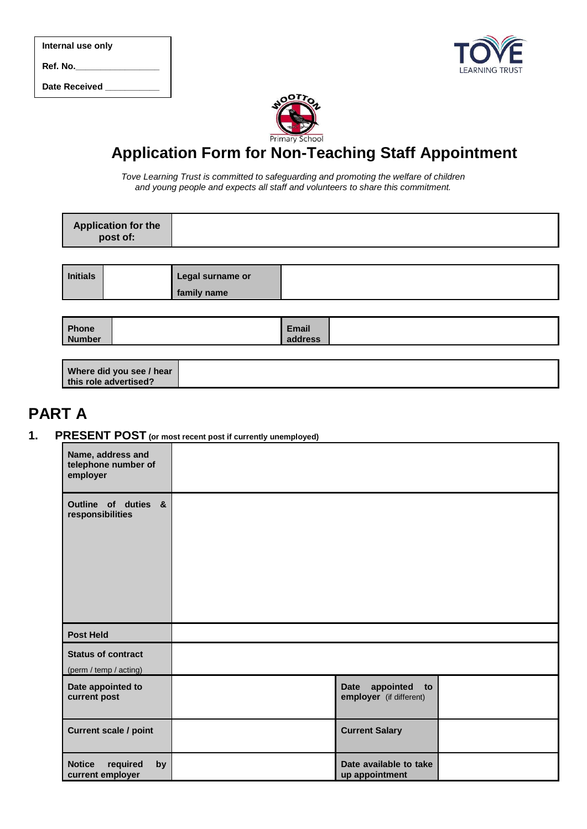| Internal use only |  |  |  |  |
|-------------------|--|--|--|--|
| Ref. No.          |  |  |  |  |

Date Received





# **Application Form for Non-Teaching Staff Appointment**

*Tove Learning Trust is committed to safeguarding and promoting the welfare of children and young people and expects all staff and volunteers to share this commitment.*

| Application for the<br>post of: |  |
|---------------------------------|--|
|                                 |  |
|                                 |  |

| <b>Initials</b> | Legal surname or |  |
|-----------------|------------------|--|
|                 | family name      |  |
|                 |                  |  |

| Phone         | Email        |  |
|---------------|--------------|--|
| <b>Number</b> | <b>Hress</b> |  |
|               |              |  |

| Where did you see / hear |  |
|--------------------------|--|
| this role advertised?    |  |

## **PART A**

**1. PRESENT POST (or most recent post if currently unemployed)**

| Name, address and<br>telephone number of<br>employer |                                                               |  |
|------------------------------------------------------|---------------------------------------------------------------|--|
| Outline of duties &<br>responsibilities              |                                                               |  |
| <b>Post Held</b>                                     |                                                               |  |
| <b>Status of contract</b><br>(perm / temp / acting)  |                                                               |  |
| Date appointed to<br>current post                    | Date<br>appointed<br>$\mathbf{to}$<br>employer (if different) |  |
| <b>Current scale / point</b>                         | <b>Current Salary</b>                                         |  |
| <b>Notice</b><br>required<br>by<br>current employer  | Date available to take<br>up appointment                      |  |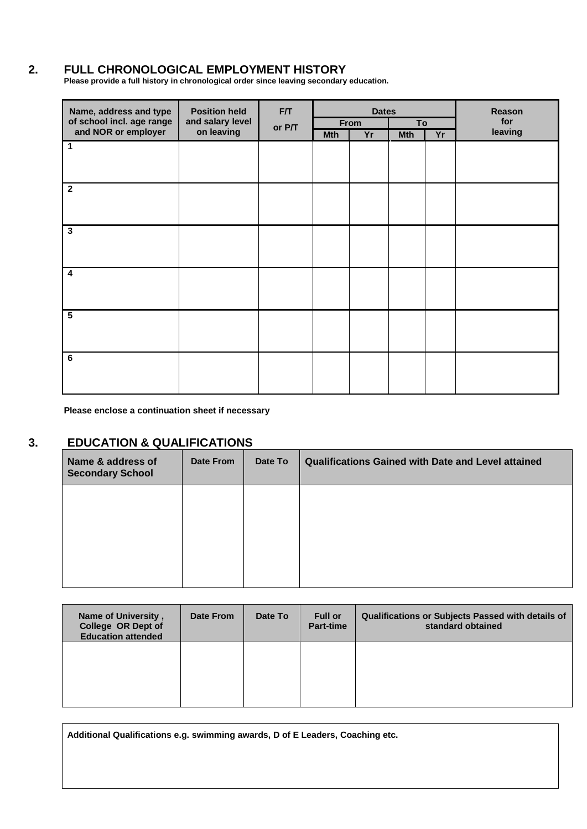## **2. FULL CHRONOLOGICAL EMPLOYMENT HISTORY**

**Please provide a full history in chronological order since leaving secondary education.** 

| Name, address and type    | <b>Position held</b><br>F/T |        | <b>Dates</b> |      |            | Reason |         |
|---------------------------|-----------------------------|--------|--------------|------|------------|--------|---------|
| of school incl. age range | and salary level            | or P/T |              | From | To         |        | for     |
| and NOR or employer       | on leaving                  |        | <b>Mth</b>   | Yr   | <b>Mth</b> | Yr     | leaving |
| $\mathbf 1$               |                             |        |              |      |            |        |         |
|                           |                             |        |              |      |            |        |         |
|                           |                             |        |              |      |            |        |         |
| $\overline{2}$            |                             |        |              |      |            |        |         |
|                           |                             |        |              |      |            |        |         |
|                           |                             |        |              |      |            |        |         |
| $\overline{\mathbf{3}}$   |                             |        |              |      |            |        |         |
|                           |                             |        |              |      |            |        |         |
|                           |                             |        |              |      |            |        |         |
| $\boldsymbol{4}$          |                             |        |              |      |            |        |         |
|                           |                             |        |              |      |            |        |         |
|                           |                             |        |              |      |            |        |         |
| $\overline{\mathbf{5}}$   |                             |        |              |      |            |        |         |
|                           |                             |        |              |      |            |        |         |
|                           |                             |        |              |      |            |        |         |
|                           |                             |        |              |      |            |        |         |
| 6                         |                             |        |              |      |            |        |         |
|                           |                             |        |              |      |            |        |         |
|                           |                             |        |              |      |            |        |         |

**Please enclose a continuation sheet if necessary**

## **3. EDUCATION & QUALIFICATIONS**

| Name & address of<br><b>Secondary School</b> | Date From | Date To | <b>Qualifications Gained with Date and Level attained</b> |
|----------------------------------------------|-----------|---------|-----------------------------------------------------------|
|                                              |           |         |                                                           |
|                                              |           |         |                                                           |
|                                              |           |         |                                                           |

| Name of University,<br>College OR Dept of<br><b>Education attended</b> | Date From | Date To | <b>Full or</b><br><b>Part-time</b> | Qualifications or Subjects Passed with details of<br>standard obtained |
|------------------------------------------------------------------------|-----------|---------|------------------------------------|------------------------------------------------------------------------|
|                                                                        |           |         |                                    |                                                                        |
|                                                                        |           |         |                                    |                                                                        |

**Additional Qualifications e.g. swimming awards, D of E Leaders, Coaching etc.**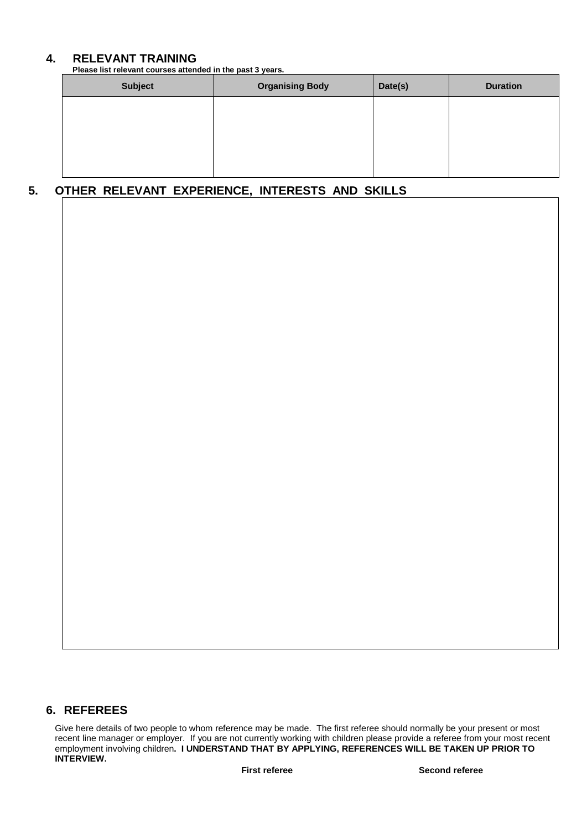## **4. RELEVANT TRAINING**

**Please list relevant courses attended in the past 3 years.**

| <b>Subject</b> | <b>Organising Body</b> | Date(s) | <b>Duration</b> |
|----------------|------------------------|---------|-----------------|
|                |                        |         |                 |
|                |                        |         |                 |
|                |                        |         |                 |
|                |                        |         |                 |

## **5. OTHER RELEVANT EXPERIENCE, INTERESTS AND SKILLS**

## **6. REFEREES**

Give here details of two people to whom reference may be made. The first referee should normally be your present or most recent line manager or employer. If you are not currently working with children please provide a referee from your most recent employment involving children**. I UNDERSTAND THAT BY APPLYING, REFERENCES WILL BE TAKEN UP PRIOR TO INTERVIEW.**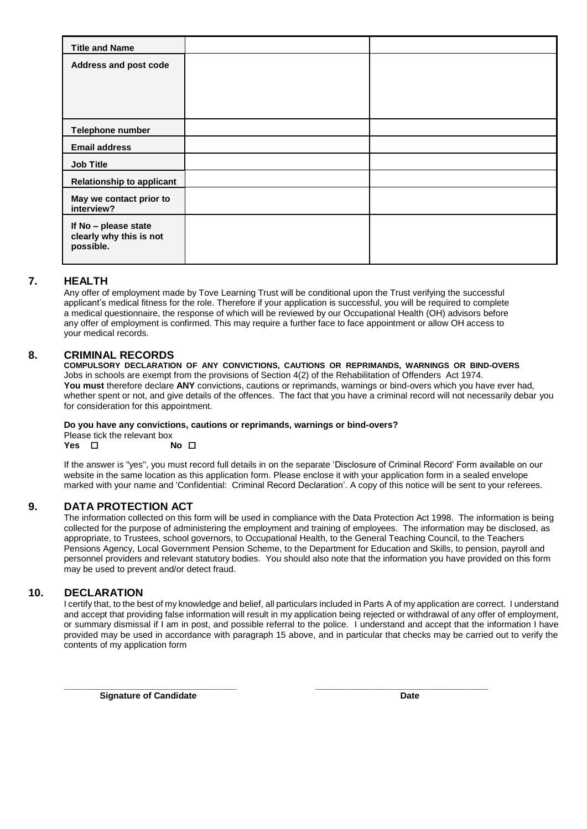| <b>Title and Name</b>                                        |  |
|--------------------------------------------------------------|--|
| Address and post code                                        |  |
|                                                              |  |
|                                                              |  |
|                                                              |  |
| Telephone number                                             |  |
| <b>Email address</b>                                         |  |
| <b>Job Title</b>                                             |  |
| <b>Relationship to applicant</b>                             |  |
| May we contact prior to<br>interview?                        |  |
| If No - please state<br>clearly why this is not<br>possible. |  |

## **7. HEALTH**

Any offer of employment made by Tove Learning Trust will be conditional upon the Trust verifying the successful applicant's medical fitness for the role. Therefore if your application is successful, you will be required to complete a medical questionnaire, the response of which will be reviewed by our Occupational Health (OH) advisors before any offer of employment is confirmed. This may require a further face to face appointment or allow OH access to your medical records.

#### **8. CRIMINAL RECORDS**

**COMPULSORY DECLARATION OF ANY CONVICTIONS, CAUTIONS OR REPRIMANDS, WARNINGS OR BIND-OVERS** Jobs in schools are exempt from the provisions of Section 4(2) of the Rehabilitation of Offenders Act 1974. **You must** therefore declare **ANY** convictions, cautions or reprimands, warnings or bind-overs which you have ever had, whether spent or not, and give details of the offences. The fact that you have a criminal record will not necessarily debar you for consideration for this appointment.

## **Do you have any convictions, cautions or reprimands, warnings or bind-overs?**

Please tick the relevant box<br>Yes  $\Box$  No  $\Box$ **Yes** □

If the answer is "yes", you must record full details in on the separate 'Disclosure of Criminal Record' Form available on our website in the same location as this application form. Please enclose it with your application form in a sealed envelope marked with your name and 'Confidential: Criminal Record Declaration'. A copy of this notice will be sent to your referees.

## **9. DATA PROTECTION ACT**

The information collected on this form will be used in compliance with the Data Protection Act 1998. The information is being collected for the purpose of administering the employment and training of employees. The information may be disclosed, as appropriate, to Trustees, school governors, to Occupational Health, to the General Teaching Council, to the Teachers Pensions Agency, Local Government Pension Scheme, to the Department for Education and Skills, to pension, payroll and personnel providers and relevant statutory bodies. You should also note that the information you have provided on this form may be used to prevent and/or detect fraud.

#### **10. DECLARATION**

I certify that, to the best of my knowledge and belief, all particulars included in Parts A of my application are correct. I understand and accept that providing false information will result in my application being rejected or withdrawal of any offer of employment, or summary dismissal if I am in post, and possible referral to the police. I understand and accept that the information I have provided may be used in accordance with paragraph 15 above, and in particular that checks may be carried out to verify the contents of my application form

**\_\_\_\_\_\_\_\_\_\_\_\_\_\_\_\_\_\_\_\_\_\_\_\_\_\_\_\_\_\_\_\_\_\_\_ \_\_\_\_\_\_\_\_\_\_\_\_\_\_\_\_\_\_\_\_\_\_\_\_\_\_\_\_\_\_\_\_\_\_\_**

**Signature of Candidate Date Date Date Date Date**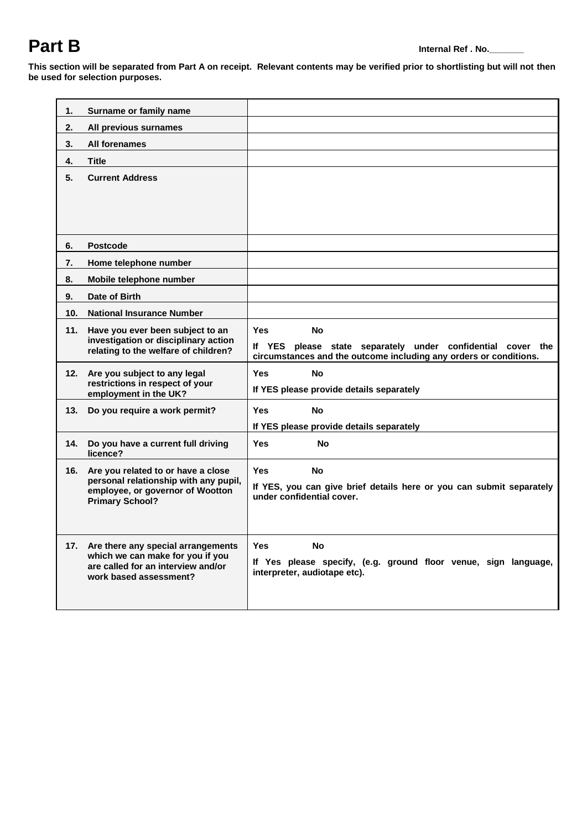# **Part B Internal Ref . No.**

**This section will be separated from Part A on receipt. Relevant contents may be verified prior to shortlisting but will not then be used for selection purposes.**

| 1.                                                       | Surname or family name                                                                                                  |                                                                                                                                     |
|----------------------------------------------------------|-------------------------------------------------------------------------------------------------------------------------|-------------------------------------------------------------------------------------------------------------------------------------|
| 2.                                                       | All previous surnames                                                                                                   |                                                                                                                                     |
| 3.                                                       | All forenames                                                                                                           |                                                                                                                                     |
| 4.                                                       | Title                                                                                                                   |                                                                                                                                     |
| 5.                                                       | <b>Current Address</b>                                                                                                  |                                                                                                                                     |
|                                                          |                                                                                                                         |                                                                                                                                     |
|                                                          |                                                                                                                         |                                                                                                                                     |
|                                                          |                                                                                                                         |                                                                                                                                     |
| 6.                                                       | <b>Postcode</b>                                                                                                         |                                                                                                                                     |
| 7.                                                       | Home telephone number                                                                                                   |                                                                                                                                     |
| 8.                                                       | Mobile telephone number                                                                                                 |                                                                                                                                     |
| 9.                                                       | Date of Birth                                                                                                           |                                                                                                                                     |
| 10 <sub>1</sub>                                          | <b>National Insurance Number</b>                                                                                        |                                                                                                                                     |
|                                                          | 11.<br>Have you ever been subject to an<br>investigation or disciplinary action<br>relating to the welfare of children? | <b>Yes</b><br><b>No</b>                                                                                                             |
|                                                          |                                                                                                                         | lf YES<br>please state separately under confidential cover the<br>circumstances and the outcome including any orders or conditions. |
|                                                          | 12. Are you subject to any legal                                                                                        | <b>Yes</b><br><b>No</b>                                                                                                             |
| restrictions in respect of your<br>employment in the UK? |                                                                                                                         | If YES please provide details separately                                                                                            |
| 13.                                                      | Do you require a work permit?                                                                                           | <b>No</b><br><b>Yes</b>                                                                                                             |
|                                                          |                                                                                                                         | If YES please provide details separately                                                                                            |
| 14.                                                      | Do you have a current full driving<br>licence?                                                                          | <b>No</b><br><b>Yes</b>                                                                                                             |
| 16.                                                      | Are you related to or have a close                                                                                      | <b>Yes</b><br><b>No</b>                                                                                                             |
|                                                          | personal relationship with any pupil,<br>employee, or governor of Wootton                                               | If YES, you can give brief details here or you can submit separately                                                                |
|                                                          | <b>Primary School?</b>                                                                                                  | under confidential cover.                                                                                                           |
|                                                          |                                                                                                                         |                                                                                                                                     |
|                                                          | 17. Are there any special arrangements                                                                                  | <b>Yes</b><br><b>No</b>                                                                                                             |
|                                                          | which we can make for you if you                                                                                        | If Yes please specify, (e.g. ground floor venue, sign language,                                                                     |
|                                                          | are called for an interview and/or<br>work based assessment?                                                            | interpreter, audiotape etc).                                                                                                        |
|                                                          |                                                                                                                         |                                                                                                                                     |
|                                                          |                                                                                                                         |                                                                                                                                     |